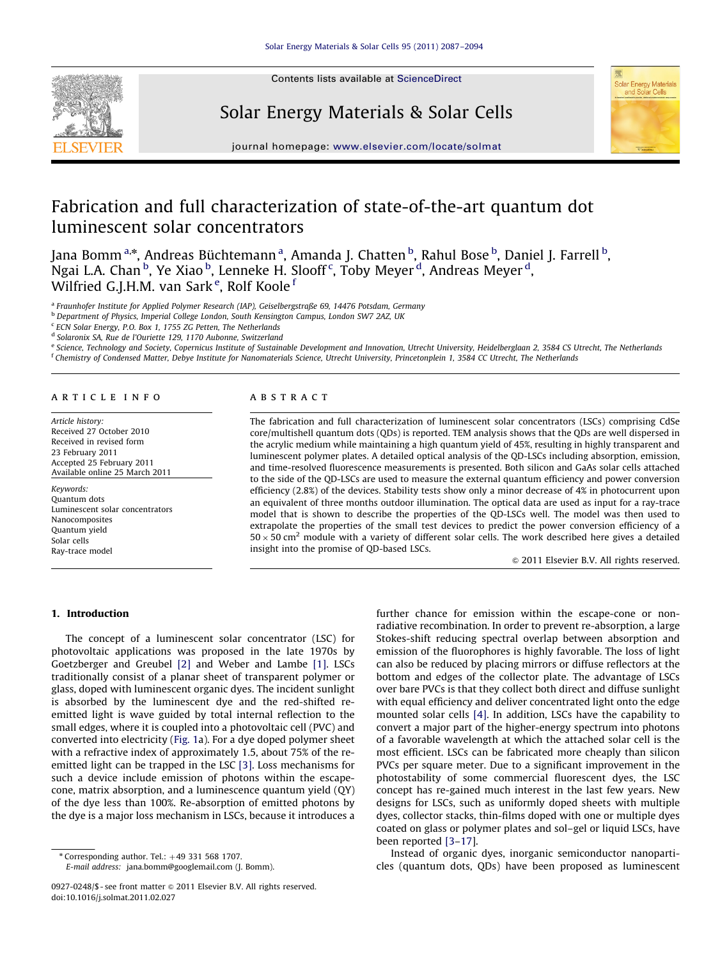

Contents lists available at ScienceDirect

Solar Energy Materials & Solar Cells



journal homepage: <www.elsevier.com/locate/solmat>

# Fabrication and full characterization of state-of-the-art quantum dot luminescent solar concentrators

Jana Bomm<sup>a,</sup>\*, Andreas Büchtemann<sup>a</sup>, Amanda J. Chatten<sup>b</sup>, Rahul Bose<sup>b</sup>, Daniel J. Farrell<sup>b</sup>,  $\rm N$ gai L.A. Chan  $^{\rm b}$ , Ye Xiao  $^{\rm b}$ , Lenneke H. Slooff  $^{\rm c}$ , Toby Meyer  $^{\rm d}$ , Andreas Meyer  $^{\rm d}$ , Wilfried G.J.H.M. van Sark<sup>e</sup>, Rolf Koole<sup>f</sup>

<sup>a</sup> Fraunhofer Institute for Applied Polymer Research (IAP), Geiselbergstraße 69, 14476 Potsdam, Germany

b Department of Physics, Imperial College London, South Kensington Campus, London SW7 2AZ, UK

<sup>c</sup> ECN Solar Energy, P.O. Box 1, 1755 ZG Petten, The Netherlands

<sup>d</sup> Solaronix SA, Rue de l'Ouriette 129, 1170 Aubonne, Switzerland

e Science, Technology and Society, Copernicus Institute of Sustainable Development and Innovation, Utrecht University, Heidelberglaan 2, 3584 CS Utrecht, The Netherlands <sup>f</sup> Chemistry of Condensed Matter, Debye Institute for Nanomaterials Science, Utrecht University, Princetonplein 1, 3584 CC Utrecht, The Netherlands

## article info

Article history: Received 27 October 2010 Received in revised form 23 February 2011 Accepted 25 February 2011 Available online 25 March 2011

Keywords: Quantum dots Luminescent solar concentrators Nanocomposites Quantum yield Solar cells Ray-trace model

# ABSTRACT

The fabrication and full characterization of luminescent solar concentrators (LSCs) comprising CdSe core/multishell quantum dots (QDs) is reported. TEM analysis shows that the QDs are well dispersed in the acrylic medium while maintaining a high quantum yield of 45%, resulting in highly transparent and luminescent polymer plates. A detailed optical analysis of the QD-LSCs including absorption, emission, and time-resolved fluorescence measurements is presented. Both silicon and GaAs solar cells attached to the side of the QD-LSCs are used to measure the external quantum efficiency and power conversion efficiency (2.8%) of the devices. Stability tests show only a minor decrease of 4% in photocurrent upon an equivalent of three months outdoor illumination. The optical data are used as input for a ray-trace model that is shown to describe the properties of the QD-LSCs well. The model was then used to extrapolate the properties of the small test devices to predict the power conversion efficiency of a  $50 \times 50$  cm<sup>2</sup> module with a variety of different solar cells. The work described here gives a detailed insight into the promise of QD-based LSCs.

 $\odot$  2011 Elsevier B.V. All rights reserved.

## 1. Introduction

The concept of a luminescent solar concentrator (LSC) for photovoltaic applications was proposed in the late 1970s by Goetzberger and Greubel [\[2\]](#page-6-0) and Weber and Lambe [\[1\]](#page-6-0). LSCs traditionally consist of a planar sheet of transparent polymer or glass, doped with luminescent organic dyes. The incident sunlight is absorbed by the luminescent dye and the red-shifted reemitted light is wave guided by total internal reflection to the small edges, where it is coupled into a photovoltaic cell (PVC) and converted into electricity ([Fig. 1](#page-1-0)a). For a dye doped polymer sheet with a refractive index of approximately 1.5, about 75% of the reemitted light can be trapped in the LSC [\[3\].](#page-7-0) Loss mechanisms for such a device include emission of photons within the escapecone, matrix absorption, and a luminescence quantum yield (QY) of the dye less than 100%. Re-absorption of emitted photons by the dye is a major loss mechanism in LSCs, because it introduces a further chance for emission within the escape-cone or nonradiative recombination. In order to prevent re-absorption, a large Stokes-shift reducing spectral overlap between absorption and emission of the fluorophores is highly favorable. The loss of light can also be reduced by placing mirrors or diffuse reflectors at the bottom and edges of the collector plate. The advantage of LSCs over bare PVCs is that they collect both direct and diffuse sunlight with equal efficiency and deliver concentrated light onto the edge mounted solar cells [\[4\].](#page-7-0) In addition, LSCs have the capability to convert a major part of the higher-energy spectrum into photons of a favorable wavelength at which the attached solar cell is the most efficient. LSCs can be fabricated more cheaply than silicon PVCs per square meter. Due to a significant improvement in the photostability of some commercial fluorescent dyes, the LSC concept has re-gained much interest in the last few years. New designs for LSCs, such as uniformly doped sheets with multiple dyes, collector stacks, thin-films doped with one or multiple dyes coated on glass or polymer plates and sol–gel or liquid LSCs, have been reported [\[3–17\]](#page-7-0).

Instead of organic dyes, inorganic semiconductor nanoparticles (quantum dots, QDs) have been proposed as luminescent

 $*$  Corresponding author. Tel.:  $+49$  331 568 1707. E-mail address: [jana.bomm@googlemail.com \(J. Bomm\).](mailto:jana.bomm@googlemail.com)

<sup>0927-0248/\$ -</sup> see front matter @ 2011 Elsevier B.V. All rights reserved. doi:[10.1016/j.solmat.2011.02.027](dx.doi.org/10.1016/j.solmat.2011.02.027)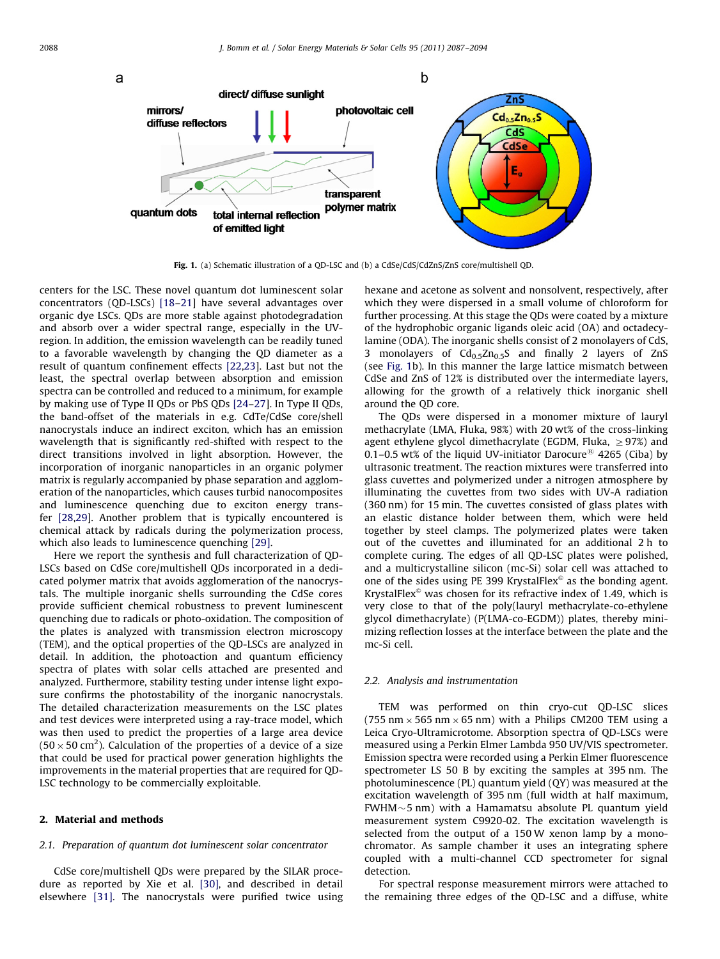<span id="page-1-0"></span>

Fig. 1. (a) Schematic illustration of a QD-LSC and (b) a CdSe/CdS/CdZnS/ZnS core/multishell QD.

centers for the LSC. These novel quantum dot luminescent solar concentrators (QD-LSCs) [\[18–21](#page-7-0)] have several advantages over organic dye LSCs. QDs are more stable against photodegradation and absorb over a wider spectral range, especially in the UVregion. In addition, the emission wavelength can be readily tuned to a favorable wavelength by changing the QD diameter as a result of quantum confinement effects [\[22](#page-7-0),[23\]](#page-7-0). Last but not the least, the spectral overlap between absorption and emission spectra can be controlled and reduced to a minimum, for example by making use of Type II QDs or PbS QDs [\[24–27](#page-7-0)]. In Type II QDs, the band-offset of the materials in e.g. CdTe/CdSe core/shell nanocrystals induce an indirect exciton, which has an emission wavelength that is significantly red-shifted with respect to the direct transitions involved in light absorption. However, the incorporation of inorganic nanoparticles in an organic polymer matrix is regularly accompanied by phase separation and agglomeration of the nanoparticles, which causes turbid nanocomposites and luminescence quenching due to exciton energy transfer [\[28,29](#page-7-0)]. Another problem that is typically encountered is chemical attack by radicals during the polymerization process, which also leads to luminescence quenching [\[29\].](#page-7-0)

Here we report the synthesis and full characterization of QD-LSCs based on CdSe core/multishell QDs incorporated in a dedicated polymer matrix that avoids agglomeration of the nanocrystals. The multiple inorganic shells surrounding the CdSe cores provide sufficient chemical robustness to prevent luminescent quenching due to radicals or photo-oxidation. The composition of the plates is analyzed with transmission electron microscopy (TEM), and the optical properties of the QD-LSCs are analyzed in detail. In addition, the photoaction and quantum efficiency spectra of plates with solar cells attached are presented and analyzed. Furthermore, stability testing under intense light exposure confirms the photostability of the inorganic nanocrystals. The detailed characterization measurements on the LSC plates and test devices were interpreted using a ray-trace model, which was then used to predict the properties of a large area device (50  $\times$  50 cm<sup>2</sup>). Calculation of the properties of a device of a size that could be used for practical power generation highlights the improvements in the material properties that are required for QD-LSC technology to be commercially exploitable.

## 2. Material and methods

#### 2.1. Preparation of quantum dot luminescent solar concentrator

CdSe core/multishell QDs were prepared by the SILAR procedure as reported by Xie et al. [\[30\],](#page-7-0) and described in detail elsewhere [\[31\]](#page-7-0). The nanocrystals were purified twice using

hexane and acetone as solvent and nonsolvent, respectively, after which they were dispersed in a small volume of chloroform for further processing. At this stage the QDs were coated by a mixture of the hydrophobic organic ligands oleic acid (OA) and octadecylamine (ODA). The inorganic shells consist of 2 monolayers of CdS, 3 monolayers of  $Cd_{0.5}Zn_{0.5}S$  and finally 2 layers of ZnS (see Fig. 1b). In this manner the large lattice mismatch between CdSe and ZnS of 12% is distributed over the intermediate layers, allowing for the growth of a relatively thick inorganic shell around the QD core.

The QDs were dispersed in a monomer mixture of lauryl methacrylate (LMA, Fluka, 98%) with 20 wt% of the cross-linking agent ethylene glycol dimethacrylate (EGDM, Fluka,  $\geq$ 97%) and 0.1–0.5 wt% of the liquid UV-initiator Darocure<sup>®</sup> 4265 (Ciba) by ultrasonic treatment. The reaction mixtures were transferred into glass cuvettes and polymerized under a nitrogen atmosphere by illuminating the cuvettes from two sides with UV-A radiation (360 nm) for 15 min. The cuvettes consisted of glass plates with an elastic distance holder between them, which were held together by steel clamps. The polymerized plates were taken out of the cuvettes and illuminated for an additional 2 h to complete curing. The edges of all QD-LSC plates were polished, and a multicrystalline silicon (mc-Si) solar cell was attached to one of the sides using PE 399 KrystalFlex $\textdegree$  as the bonding agent. KrystalFlex $\textdegree$  was chosen for its refractive index of 1.49, which is very close to that of the poly(lauryl methacrylate-co-ethylene glycol dimethacrylate) (P(LMA-co-EGDM)) plates, thereby minimizing reflection losses at the interface between the plate and the mc-Si cell.

#### 2.2. Analysis and instrumentation

TEM was performed on thin cryo-cut QD-LSC slices (755 nm  $\times$  565 nm  $\times$  65 nm) with a Philips CM200 TEM using a Leica Cryo-Ultramicrotome. Absorption spectra of QD-LSCs were measured using a Perkin Elmer Lambda 950 UV/VIS spectrometer. Emission spectra were recorded using a Perkin Elmer fluorescence spectrometer LS 50 B by exciting the samples at 395 nm. The photoluminescence (PL) quantum yield (QY) was measured at the excitation wavelength of 395 nm (full width at half maximum, FWHM $\sim$ 5 nm) with a Hamamatsu absolute PL quantum yield measurement system C9920-02. The excitation wavelength is selected from the output of a 150 W xenon lamp by a monochromator. As sample chamber it uses an integrating sphere coupled with a multi-channel CCD spectrometer for signal detection.

For spectral response measurement mirrors were attached to the remaining three edges of the QD-LSC and a diffuse, white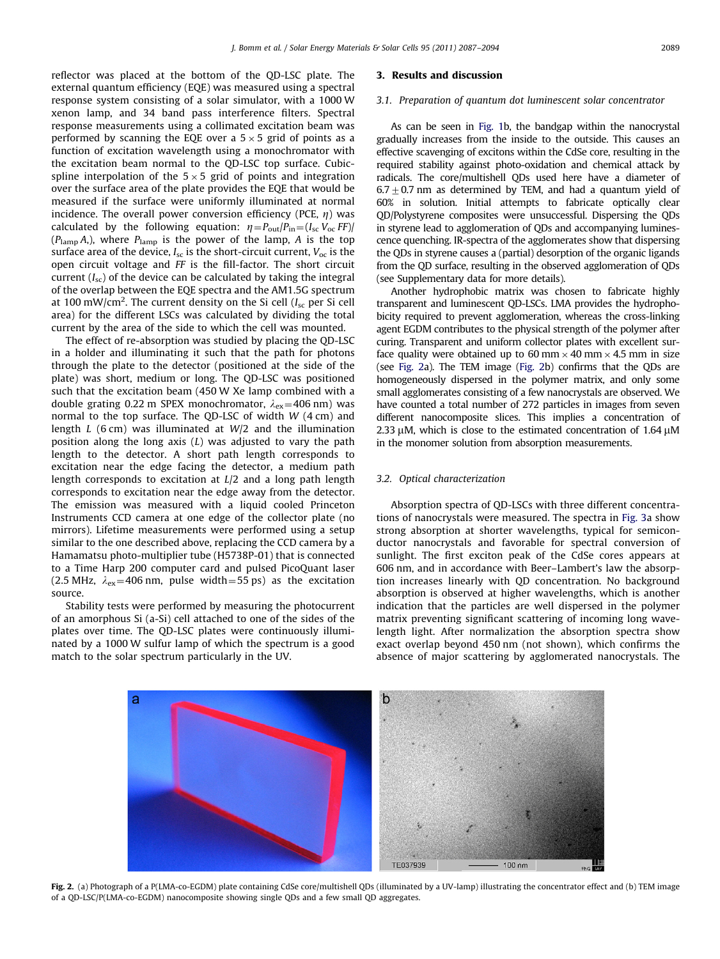reflector was placed at the bottom of the QD-LSC plate. The external quantum efficiency (EQE) was measured using a spectral response system consisting of a solar simulator, with a 1000 W xenon lamp, and 34 band pass interference filters. Spectral response measurements using a collimated excitation beam was performed by scanning the EQE over a 5  $\times$  5 grid of points as a function of excitation wavelength using a monochromator with the excitation beam normal to the QD-LSC top surface. Cubicspline interpolation of the 5  $\times$  5 grid of points and integration over the surface area of the plate provides the EQE that would be measured if the surface were uniformly illuminated at normal incidence. The overall power conversion efficiency (PCE,  $n$ ) was calculated by the following equation:  $\eta = P_{\text{out}}/P_{\text{in}} = (I_{\text{sc}} V_{\text{oc}} F F)$ /  $(P_{\text{lamp}} A)$ , where  $P_{\text{lamp}}$  is the power of the lamp, A is the top surface area of the device,  $I_{\rm sc}$  is the short-circuit current,  $V_{\rm oc}$  is the open circuit voltage and FF is the fill-factor. The short circuit current  $(I_{sc})$  of the device can be calculated by taking the integral of the overlap between the EQE spectra and the AM1.5G spectrum at 100 mW/cm<sup>2</sup>. The current density on the Si cell (I<sub>sc</sub> per Si cell area) for the different LSCs was calculated by dividing the total current by the area of the side to which the cell was mounted.

The effect of re-absorption was studied by placing the QD-LSC in a holder and illuminating it such that the path for photons through the plate to the detector (positioned at the side of the plate) was short, medium or long. The QD-LSC was positioned such that the excitation beam (450 W Xe lamp combined with a double grating 0.22 m SPEX monochromator,  $\lambda_{ex}$ =406 nm) was normal to the top surface. The QD-LSC of width W (4 cm) and length  $L$  (6 cm) was illuminated at  $W/2$  and the illumination position along the long axis  $(L)$  was adjusted to vary the path length to the detector. A short path length corresponds to excitation near the edge facing the detector, a medium path length corresponds to excitation at L/2 and a long path length corresponds to excitation near the edge away from the detector. The emission was measured with a liquid cooled Princeton Instruments CCD camera at one edge of the collector plate (no mirrors). Lifetime measurements were performed using a setup similar to the one described above, replacing the CCD camera by a Hamamatsu photo-multiplier tube (H5738P-01) that is connected to a Time Harp 200 computer card and pulsed PicoQuant laser (2.5 MHz,  $\lambda_{ex}$ =406 nm, pulse width=55 ps) as the excitation source.

Stability tests were performed by measuring the photocurrent of an amorphous Si (a-Si) cell attached to one of the sides of the plates over time. The QD-LSC plates were continuously illuminated by a 1000 W sulfur lamp of which the spectrum is a good match to the solar spectrum particularly in the UV.

#### 3. Results and discussion

## 3.1. Preparation of quantum dot luminescent solar concentrator

As can be seen in [Fig. 1b](#page-1-0), the bandgap within the nanocrystal gradually increases from the inside to the outside. This causes an effective scavenging of excitons within the CdSe core, resulting in the required stability against photo-oxidation and chemical attack by radicals. The core/multishell QDs used here have a diameter of  $6.7\pm0.7$  nm as determined by TEM, and had a quantum yield of 60% in solution. Initial attempts to fabricate optically clear QD/Polystyrene composites were unsuccessful. Dispersing the QDs in styrene lead to agglomeration of QDs and accompanying luminescence quenching. IR-spectra of the agglomerates show that dispersing the QDs in styrene causes a (partial) desorption of the organic ligands from the QD surface, resulting in the observed agglomeration of QDs (see Supplementary data for more details).

Another hydrophobic matrix was chosen to fabricate highly transparent and luminescent QD-LSCs. LMA provides the hydrophobicity required to prevent agglomeration, whereas the cross-linking agent EGDM contributes to the physical strength of the polymer after curing. Transparent and uniform collector plates with excellent surface quality were obtained up to 60 mm  $\times$  40 mm  $\times$  4.5 mm in size (see Fig. 2a). The TEM image (Fig. 2b) confirms that the QDs are homogeneously dispersed in the polymer matrix, and only some small agglomerates consisting of a few nanocrystals are observed. We have counted a total number of 272 particles in images from seven different nanocomposite slices. This implies a concentration of 2.33  $\mu$ M, which is close to the estimated concentration of 1.64  $\mu$ M in the monomer solution from absorption measurements.

#### 3.2. Optical characterization

Absorption spectra of QD-LSCs with three different concentrations of nanocrystals were measured. The spectra in [Fig. 3](#page-3-0)a show strong absorption at shorter wavelengths, typical for semiconductor nanocrystals and favorable for spectral conversion of sunlight. The first exciton peak of the CdSe cores appears at 606 nm, and in accordance with Beer–Lambert's law the absorption increases linearly with QD concentration. No background absorption is observed at higher wavelengths, which is another indication that the particles are well dispersed in the polymer matrix preventing significant scattering of incoming long wavelength light. After normalization the absorption spectra show exact overlap beyond 450 nm (not shown), which confirms the absence of major scattering by agglomerated nanocrystals. The



Fig. 2. (a) Photograph of a P(LMA-co-EGDM) plate containing CdSe core/multishell QDs (illuminated by a UV-lamp) illustrating the concentrator effect and (b) TEM image of a QD-LSC/P(LMA-co-EGDM) nanocomposite showing single QDs and a few small QD aggregates.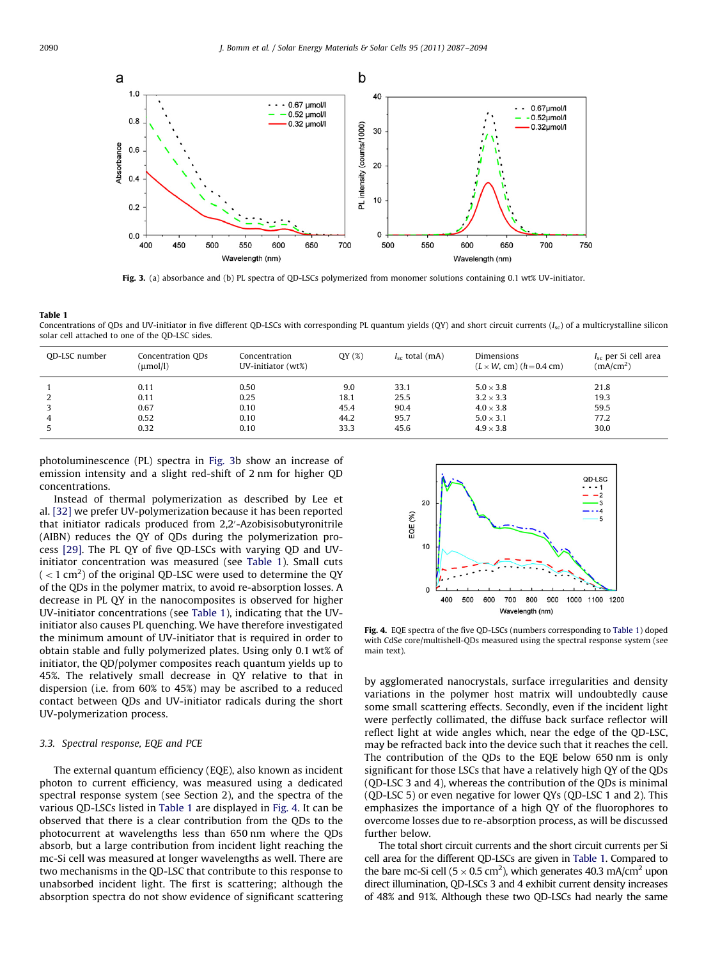<span id="page-3-0"></span>

Fig. 3. (a) absorbance and (b) PL spectra of QD-LSCs polymerized from monomer solutions containing 0.1 wt% UV-initiator.

Concentrations of QDs and UV-initiator in five different QD-LSCs with corresponding PL quantum yields  $(QY)$  and short circuit currents  $(I_{sc})$  of a multicrystalline silicon solar cell attached to one of the QD-LSC sides.

| OD-LSC number | Concentration ODs<br>$(\mu mol/l)$ | Concentration<br>UV-initiator (wt%) | QY(%) | $I_{\rm sc}$ total (mA) | Dimensions<br>$(L \times W, cm)$ (h=0.4 cm) | $I_{\rm sc}$ per Si cell area<br>(mA/cm <sup>2</sup> ) |
|---------------|------------------------------------|-------------------------------------|-------|-------------------------|---------------------------------------------|--------------------------------------------------------|
|               | 0.11                               | 0.50                                | 9.0   | 33.1                    | $5.0 \times 3.8$                            | 21.8                                                   |
|               | 0.11                               | 0.25                                | 18.1  | 25.5                    | $3.2 \times 3.3$                            | 19.3                                                   |
|               | 0.67                               | 0.10                                | 45.4  | 90.4                    | $4.0 \times 3.8$                            | 59.5                                                   |
| 4             | 0.52                               | 0.10                                | 44.2  | 95.7                    | $5.0 \times 3.1$                            | 77.2                                                   |
|               | 0.32                               | 0.10                                | 33.3  | 45.6                    | $4.9 \times 3.8$                            | 30.0                                                   |

photoluminescence (PL) spectra in Fig. 3b show an increase of emission intensity and a slight red-shift of 2 nm for higher QD concentrations.

Instead of thermal polymerization as described by Lee et al. [\[32\]](#page-7-0) we prefer UV-polymerization because it has been reported that initiator radicals produced from 2,2'-Azobisisobutyronitrile (AIBN) reduces the QY of QDs during the polymerization process [\[29\].](#page-7-0) The PL QY of five QD-LSCs with varying QD and UVinitiator concentration was measured (see Table 1). Small cuts  $(<$  1 cm<sup>2</sup>) of the original QD-LSC were used to determine the QY of the QDs in the polymer matrix, to avoid re-absorption losses. A decrease in PL QY in the nanocomposites is observed for higher UV-initiator concentrations (see Table 1), indicating that the UVinitiator also causes PL quenching. We have therefore investigated the minimum amount of UV-initiator that is required in order to obtain stable and fully polymerized plates. Using only 0.1 wt% of initiator, the QD/polymer composites reach quantum yields up to 45%. The relatively small decrease in QY relative to that in dispersion (i.e. from 60% to 45%) may be ascribed to a reduced contact between QDs and UV-initiator radicals during the short UV-polymerization process.

#### 3.3. Spectral response, EQE and PCE

The external quantum efficiency (EQE), also known as incident photon to current efficiency, was measured using a dedicated spectral response system (see Section 2), and the spectra of the various QD-LSCs listed in Table 1 are displayed in Fig. 4. It can be observed that there is a clear contribution from the QDs to the photocurrent at wavelengths less than 650 nm where the QDs absorb, but a large contribution from incident light reaching the mc-Si cell was measured at longer wavelengths as well. There are two mechanisms in the QD-LSC that contribute to this response to unabsorbed incident light. The first is scattering; although the absorption spectra do not show evidence of significant scattering



Fig. 4. EQE spectra of the five QD-LSCs (numbers corresponding to Table 1) doped with CdSe core/multishell-QDs measured using the spectral response system (see main text).

by agglomerated nanocrystals, surface irregularities and density variations in the polymer host matrix will undoubtedly cause some small scattering effects. Secondly, even if the incident light were perfectly collimated, the diffuse back surface reflector will reflect light at wide angles which, near the edge of the QD-LSC, may be refracted back into the device such that it reaches the cell. The contribution of the QDs to the EQE below 650 nm is only significant for those LSCs that have a relatively high QY of the QDs (QD-LSC 3 and 4), whereas the contribution of the QDs is minimal (QD-LSC 5) or even negative for lower QYs (QD-LSC 1 and 2). This emphasizes the importance of a high QY of the fluorophores to overcome losses due to re-absorption process, as will be discussed further below.

The total short circuit currents and the short circuit currents per Si cell area for the different QD-LSCs are given in Table 1. Compared to the bare mc-Si cell ( $5 \times 0.5$  cm<sup>2</sup>), which generates 40.3 mA/cm<sup>2</sup> upon direct illumination, QD-LSCs 3 and 4 exhibit current density increases of 48% and 91%. Although these two QD-LSCs had nearly the same

Table 1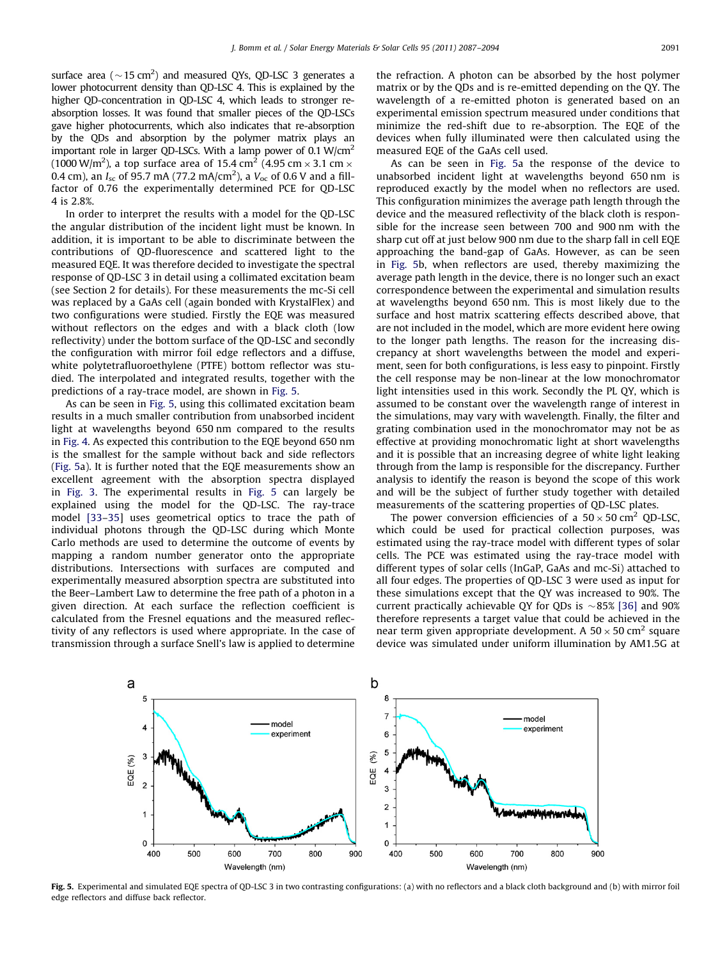<span id="page-4-0"></span>surface area ( $\sim$  15 cm<sup>2</sup>) and measured QYs, QD-LSC 3 generates a lower photocurrent density than QD-LSC 4. This is explained by the higher QD-concentration in QD-LSC 4, which leads to stronger reabsorption losses. It was found that smaller pieces of the QD-LSCs gave higher photocurrents, which also indicates that re-absorption by the QDs and absorption by the polymer matrix plays an important role in larger QD-LSCs. With a lamp power of 0.1 W/cm<sup>2</sup> (1000 W/m $^2$ ), a top surface area of 15.4 cm $^2$  (4.95 cm  $\times$  3.1 cm  $\times$ 0.4 cm), an  $I_{\rm sc}$  of 95.7 mA (77.2 mA/cm<sup>2</sup>), a  $V_{\rm oc}$  of 0.6 V and a fillfactor of 0.76 the experimentally determined PCE for QD-LSC 4 is 2.8%.

In order to interpret the results with a model for the QD-LSC the angular distribution of the incident light must be known. In addition, it is important to be able to discriminate between the contributions of QD-fluorescence and scattered light to the measured EQE. It was therefore decided to investigate the spectral response of QD-LSC 3 in detail using a collimated excitation beam (see Section 2 for details). For these measurements the mc-Si cell was replaced by a GaAs cell (again bonded with KrystalFlex) and two configurations were studied. Firstly the EQE was measured without reflectors on the edges and with a black cloth (low reflectivity) under the bottom surface of the QD-LSC and secondly the configuration with mirror foil edge reflectors and a diffuse, white polytetrafluoroethylene (PTFE) bottom reflector was studied. The interpolated and integrated results, together with the predictions of a ray-trace model, are shown in Fig. 5.

As can be seen in Fig. 5, using this collimated excitation beam results in a much smaller contribution from unabsorbed incident light at wavelengths beyond 650 nm compared to the results in [Fig. 4.](#page-3-0) As expected this contribution to the EQE beyond 650 nm is the smallest for the sample without back and side reflectors (Fig. 5a). It is further noted that the EQE measurements show an excellent agreement with the absorption spectra displayed in [Fig. 3.](#page-3-0) The experimental results in Fig. 5 can largely be explained using the model for the QD-LSC. The ray-trace model [\[33–35](#page-7-0)] uses geometrical optics to trace the path of individual photons through the QD-LSC during which Monte Carlo methods are used to determine the outcome of events by mapping a random number generator onto the appropriate distributions. Intersections with surfaces are computed and experimentally measured absorption spectra are substituted into the Beer–Lambert Law to determine the free path of a photon in a given direction. At each surface the reflection coefficient is calculated from the Fresnel equations and the measured reflectivity of any reflectors is used where appropriate. In the case of transmission through a surface Snell's law is applied to determine the refraction. A photon can be absorbed by the host polymer matrix or by the QDs and is re-emitted depending on the QY. The wavelength of a re-emitted photon is generated based on an experimental emission spectrum measured under conditions that minimize the red-shift due to re-absorption. The EQE of the devices when fully illuminated were then calculated using the measured EQE of the GaAs cell used.

As can be seen in Fig. 5a the response of the device to unabsorbed incident light at wavelengths beyond 650 nm is reproduced exactly by the model when no reflectors are used. This configuration minimizes the average path length through the device and the measured reflectivity of the black cloth is responsible for the increase seen between 700 and 900 nm with the sharp cut off at just below 900 nm due to the sharp fall in cell EQE approaching the band-gap of GaAs. However, as can be seen in Fig. 5b, when reflectors are used, thereby maximizing the average path length in the device, there is no longer such an exact correspondence between the experimental and simulation results at wavelengths beyond 650 nm. This is most likely due to the surface and host matrix scattering effects described above, that are not included in the model, which are more evident here owing to the longer path lengths. The reason for the increasing discrepancy at short wavelengths between the model and experiment, seen for both configurations, is less easy to pinpoint. Firstly the cell response may be non-linear at the low monochromator light intensities used in this work. Secondly the PL QY, which is assumed to be constant over the wavelength range of interest in the simulations, may vary with wavelength. Finally, the filter and grating combination used in the monochromator may not be as effective at providing monochromatic light at short wavelengths and it is possible that an increasing degree of white light leaking through from the lamp is responsible for the discrepancy. Further analysis to identify the reason is beyond the scope of this work and will be the subject of further study together with detailed measurements of the scattering properties of QD-LSC plates.

The power conversion efficiencies of a  $50 \times 50$  cm<sup>2</sup> QD-LSC, which could be used for practical collection purposes, was estimated using the ray-trace model with different types of solar cells. The PCE was estimated using the ray-trace model with different types of solar cells (InGaP, GaAs and mc-Si) attached to all four edges. The properties of QD-LSC 3 were used as input for these simulations except that the QY was increased to 90%. The current practically achievable QY for QDs is  $\sim 85\%$  [\[36\]](#page-7-0) and 90% therefore represents a target value that could be achieved in the near term given appropriate development. A 50  $\times$  50 cm<sup>2</sup> square device was simulated under uniform illumination by AM1.5G at



Fig. 5. Experimental and simulated EQE spectra of QD-LSC 3 in two contrasting configurations: (a) with no reflectors and a black cloth background and (b) with mirror foil edge reflectors and diffuse back reflector.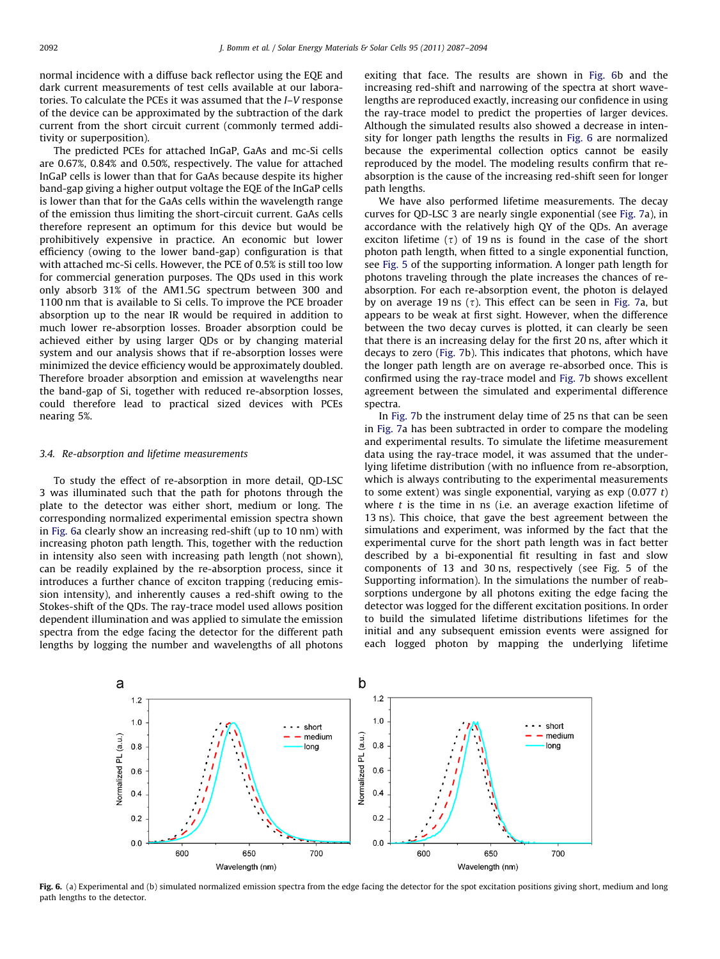normal incidence with a diffuse back reflector using the EQE and dark current measurements of test cells available at our laboratories. To calculate the PCEs it was assumed that the I–V response of the device can be approximated by the subtraction of the dark current from the short circuit current (commonly termed additivity or superposition).

The predicted PCEs for attached InGaP, GaAs and mc-Si cells are 0.67%, 0.84% and 0.50%, respectively. The value for attached InGaP cells is lower than that for GaAs because despite its higher band-gap giving a higher output voltage the EQE of the InGaP cells is lower than that for the GaAs cells within the wavelength range of the emission thus limiting the short-circuit current. GaAs cells therefore represent an optimum for this device but would be prohibitively expensive in practice. An economic but lower efficiency (owing to the lower band-gap) configuration is that with attached mc-Si cells. However, the PCE of 0.5% is still too low for commercial generation purposes. The QDs used in this work only absorb 31% of the AM1.5G spectrum between 300 and 1100 nm that is available to Si cells. To improve the PCE broader absorption up to the near IR would be required in addition to much lower re-absorption losses. Broader absorption could be achieved either by using larger QDs or by changing material system and our analysis shows that if re-absorption losses were minimized the device efficiency would be approximately doubled. Therefore broader absorption and emission at wavelengths near the band-gap of Si, together with reduced re-absorption losses, could therefore lead to practical sized devices with PCEs nearing 5%.

## 3.4. Re-absorption and lifetime measurements

To study the effect of re-absorption in more detail, QD-LSC 3 was illuminated such that the path for photons through the plate to the detector was either short, medium or long. The corresponding normalized experimental emission spectra shown in Fig. 6a clearly show an increasing red-shift (up to 10 nm) with increasing photon path length. This, together with the reduction in intensity also seen with increasing path length (not shown), can be readily explained by the re-absorption process, since it introduces a further chance of exciton trapping (reducing emission intensity), and inherently causes a red-shift owing to the Stokes-shift of the QDs. The ray-trace model used allows position dependent illumination and was applied to simulate the emission spectra from the edge facing the detector for the different path lengths by logging the number and wavelengths of all photons exiting that face. The results are shown in Fig. 6b and the increasing red-shift and narrowing of the spectra at short wavelengths are reproduced exactly, increasing our confidence in using the ray-trace model to predict the properties of larger devices. Although the simulated results also showed a decrease in intensity for longer path lengths the results in Fig. 6 are normalized because the experimental collection optics cannot be easily reproduced by the model. The modeling results confirm that reabsorption is the cause of the increasing red-shift seen for longer path lengths.

We have also performed lifetime measurements. The decay curves for QD-LSC 3 are nearly single exponential (see [Fig. 7](#page-6-0)a), in accordance with the relatively high QY of the QDs. An average exciton lifetime  $(\tau)$  of 19 ns is found in the case of the short photon path length, when fitted to a single exponential function, see [Fig. 5](#page-4-0) of the supporting information. A longer path length for photons traveling through the plate increases the chances of reabsorption. For each re-absorption event, the photon is delayed by on average 19 ns  $(\tau)$ . This effect can be seen in [Fig. 7a](#page-6-0), but appears to be weak at first sight. However, when the difference between the two decay curves is plotted, it can clearly be seen that there is an increasing delay for the first 20 ns, after which it decays to zero ([Fig. 7b](#page-6-0)). This indicates that photons, which have the longer path length are on average re-absorbed once. This is confirmed using the ray-trace model and [Fig. 7b](#page-6-0) shows excellent agreement between the simulated and experimental difference spectra.

In [Fig. 7b](#page-6-0) the instrument delay time of 25 ns that can be seen in [Fig. 7a](#page-6-0) has been subtracted in order to compare the modeling and experimental results. To simulate the lifetime measurement data using the ray-trace model, it was assumed that the underlying lifetime distribution (with no influence from re-absorption, which is always contributing to the experimental measurements to some extent) was single exponential, varying as  $\exp(0.077 t)$ where  $t$  is the time in ns (i.e. an average exaction lifetime of 13 ns). This choice, that gave the best agreement between the simulations and experiment, was informed by the fact that the experimental curve for the short path length was in fact better described by a bi-exponential fit resulting in fast and slow components of 13 and 30 ns, respectively (see Fig. 5 of the Supporting information). In the simulations the number of reabsorptions undergone by all photons exiting the edge facing the detector was logged for the different excitation positions. In order to build the simulated lifetime distributions lifetimes for the initial and any subsequent emission events were assigned for each logged photon by mapping the underlying lifetime



Fig. 6. (a) Experimental and (b) simulated normalized emission spectra from the edge facing the detector for the spot excitation positions giving short, medium and long path lengths to the detector.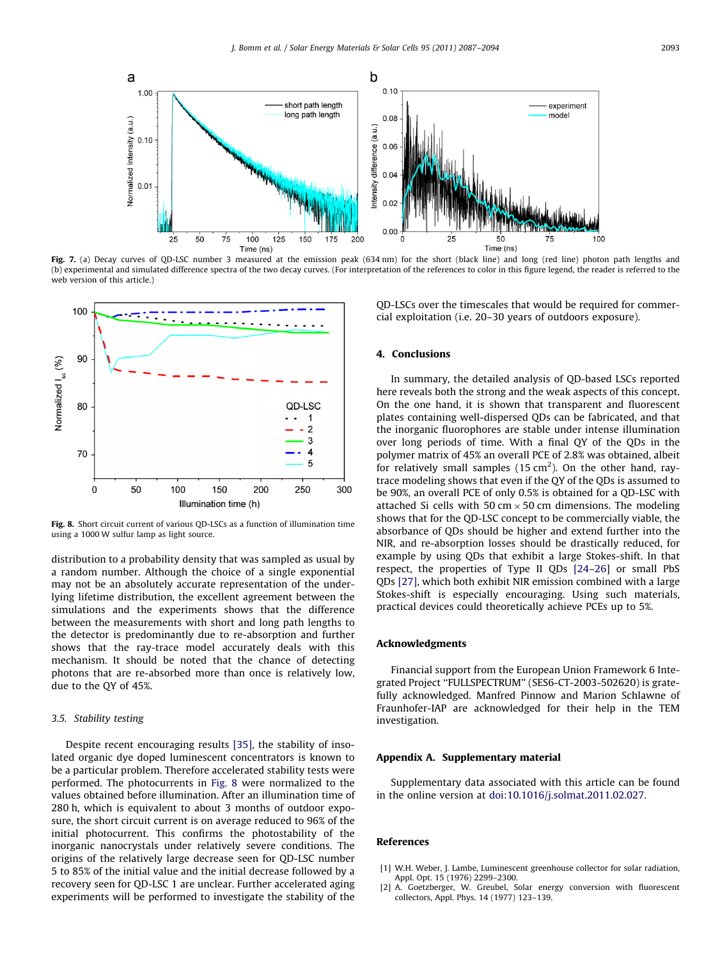<span id="page-6-0"></span>

Fig. 7. (a) Decay curves of QD-LSC number 3 measured at the emission peak (634 nm) for the short (black line) and long (red line) photon path lengths and (b) experimental and simulated difference spectra of the two decay curves. (For interpretation of the references to color in this figure legend, the reader is referred to the web version of this article.)



Fig. 8. Short circuit current of various QD-LSCs as a function of illumination time using a 1000 W sulfur lamp as light source.

distribution to a probability density that was sampled as usual by a random number. Although the choice of a single exponential may not be an absolutely accurate representation of the underlying lifetime distribution, the excellent agreement between the simulations and the experiments shows that the difference between the measurements with short and long path lengths to the detector is predominantly due to re-absorption and further shows that the ray-trace model accurately deals with this mechanism. It should be noted that the chance of detecting photons that are re-absorbed more than once is relatively low, due to the QY of 45%.

## 3.5. Stability testing

Despite recent encouraging results [\[35\],](#page-7-0) the stability of insolated organic dye doped luminescent concentrators is known to be a particular problem. Therefore accelerated stability tests were performed. The photocurrents in Fig. 8 were normalized to the values obtained before illumination. After an illumination time of 280 h, which is equivalent to about 3 months of outdoor exposure, the short circuit current is on average reduced to 96% of the initial photocurrent. This confirms the photostability of the inorganic nanocrystals under relatively severe conditions. The origins of the relatively large decrease seen for QD-LSC number 5 to 85% of the initial value and the initial decrease followed by a recovery seen for QD-LSC 1 are unclear. Further accelerated aging experiments will be performed to investigate the stability of the QD-LSCs over the timescales that would be required for commercial exploitation (i.e. 20–30 years of outdoors exposure).

## 4. Conclusions

In summary, the detailed analysis of QD-based LSCs reported here reveals both the strong and the weak aspects of this concept. On the one hand, it is shown that transparent and fluorescent plates containing well-dispersed QDs can be fabricated, and that the inorganic fluorophores are stable under intense illumination over long periods of time. With a final QY of the QDs in the polymer matrix of 45% an overall PCE of 2.8% was obtained, albeit for relatively small samples ( $15 \text{ cm}^2$ ). On the other hand, raytrace modeling shows that even if the QY of the QDs is assumed to be 90%, an overall PCE of only 0.5% is obtained for a QD-LSC with attached Si cells with 50 cm  $\times$  50 cm dimensions. The modeling shows that for the QD-LSC concept to be commercially viable, the absorbance of QDs should be higher and extend further into the NIR, and re-absorption losses should be drastically reduced, for example by using QDs that exhibit a large Stokes-shift. In that respect, the properties of Type II QDs [\[24–26\]](#page-7-0) or small PbS QDs [\[27\]](#page-7-0), which both exhibit NIR emission combined with a large Stokes-shift is especially encouraging. Using such materials, practical devices could theoretically achieve PCEs up to 5%.

## Acknowledgments

Financial support from the European Union Framework 6 Integrated Project ''FULLSPECTRUM'' (SES6-CT-2003-502620) is gratefully acknowledged. Manfred Pinnow and Marion Schlawne of Fraunhofer-IAP are acknowledged for their help in the TEM investigation.

#### Appendix A. Supplementary material

Supplementary data associated with this article can be found in the online version at <doi:10.1016/j.solmat.2011.02.027>.

#### References

- W.H. Weber, J. Lambe, Luminescent greenhouse collector for solar radiation, Appl. Opt. 15 (1976) 2299–2300.
- [2] A. Goetzberger, W. Greubel, Solar energy conversion with fluorescent collectors, Appl. Phys. 14 (1977) 123–139.